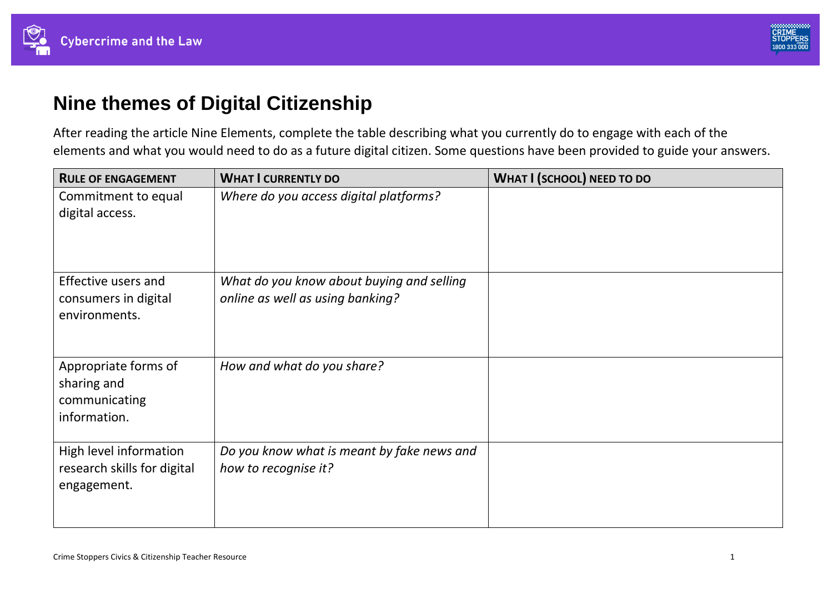



## **Nine themes of Digital Citizenship**

After reading the article Nine Elements, complete the table describing what you currently do to engage with each of the elements and what you would need to do as a future digital citizen. Some questions have been provided to guide your answers.

| <b>RULE OF ENGAGEMENT</b>                                            | <b>WHAT I CURRENTLY DO</b>                                                    | <b>WHAT I (SCHOOL) NEED TO DO</b> |
|----------------------------------------------------------------------|-------------------------------------------------------------------------------|-----------------------------------|
| Commitment to equal<br>digital access.                               | Where do you access digital platforms?                                        |                                   |
| <b>Effective users and</b><br>consumers in digital<br>environments.  | What do you know about buying and selling<br>online as well as using banking? |                                   |
| Appropriate forms of<br>sharing and<br>communicating<br>information. | How and what do you share?                                                    |                                   |
| High level information<br>research skills for digital<br>engagement. | Do you know what is meant by fake news and<br>how to recognise it?            |                                   |